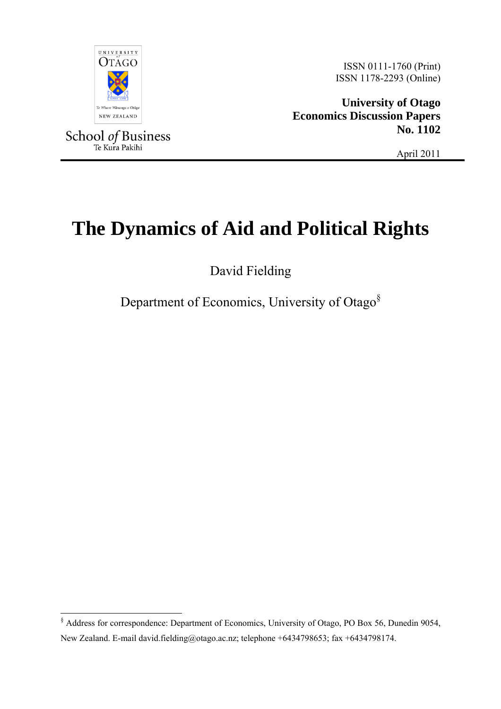

 $\label{eq:cond} \begin{array}{c} \mbox{School of Business} \\ \mbox{Te Kura Pakistan} \end{array}$ 

 ISSN 0111-1760 (Print) ISSN 1178-2293 (Online)

**University of Otago Economics Discussion Papers No. 1102** 

April 2011

# **The Dynamics of Aid and Political Rights**

David Fielding

Department of Economics, University of Otago§

 $\overline{a}$ § Address for correspondence: Department of Economics, University of Otago, PO Box 56, Dunedin 9054, New Zealand. E-mail david.fielding@otago.ac.nz; telephone +6434798653; fax +6434798174.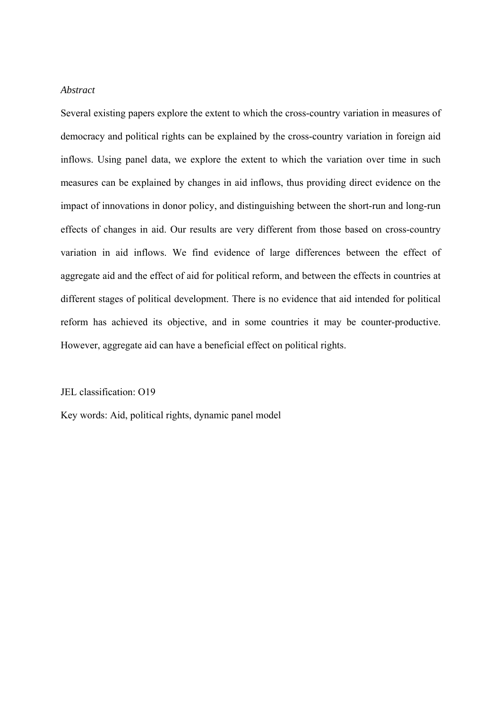### *Abstract*

Several existing papers explore the extent to which the cross-country variation in measures of democracy and political rights can be explained by the cross-country variation in foreign aid inflows. Using panel data, we explore the extent to which the variation over time in such measures can be explained by changes in aid inflows, thus providing direct evidence on the impact of innovations in donor policy, and distinguishing between the short-run and long-run effects of changes in aid. Our results are very different from those based on cross-country variation in aid inflows. We find evidence of large differences between the effect of aggregate aid and the effect of aid for political reform, and between the effects in countries at different stages of political development. There is no evidence that aid intended for political reform has achieved its objective, and in some countries it may be counter-productive. However, aggregate aid can have a beneficial effect on political rights.

JEL classification: O19

Key words: Aid, political rights, dynamic panel model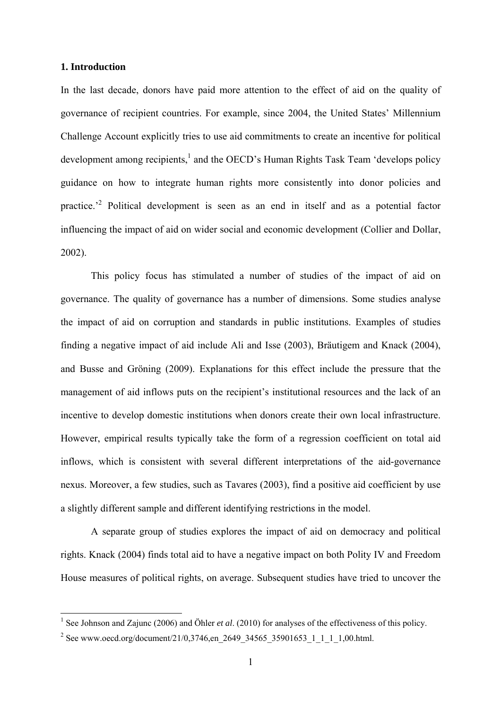### **1. Introduction**

In the last decade, donors have paid more attention to the effect of aid on the quality of governance of recipient countries. For example, since 2004, the United States' Millennium Challenge Account explicitly tries to use aid commitments to create an incentive for political development among recipients,<sup>1</sup> and the OECD's Human Rights Task Team 'develops policy guidance on how to integrate human rights more consistently into donor policies and practice.<sup>2</sup> Political development is seen as an end in itself and as a potential factor influencing the impact of aid on wider social and economic development (Collier and Dollar, 2002).

 This policy focus has stimulated a number of studies of the impact of aid on governance. The quality of governance has a number of dimensions. Some studies analyse the impact of aid on corruption and standards in public institutions. Examples of studies finding a negative impact of aid include Ali and Isse (2003), Bräutigem and Knack (2004), and Busse and Gröning (2009). Explanations for this effect include the pressure that the management of aid inflows puts on the recipient's institutional resources and the lack of an incentive to develop domestic institutions when donors create their own local infrastructure. However, empirical results typically take the form of a regression coefficient on total aid inflows, which is consistent with several different interpretations of the aid-governance nexus. Moreover, a few studies, such as Tavares (2003), find a positive aid coefficient by use a slightly different sample and different identifying restrictions in the model.

 A separate group of studies explores the impact of aid on democracy and political rights. Knack (2004) finds total aid to have a negative impact on both Polity IV and Freedom House measures of political rights, on average. Subsequent studies have tried to uncover the

<sup>&</sup>lt;sup>1</sup> See Johnson and Zajunc (2006) and Öhler *et al.* (2010) for analyses of the effectiveness of this policy.

<sup>&</sup>lt;sup>2</sup> See www.oecd.org/document/21/0,3746,en\_2649\_34565\_35901653\_1\_1\_1\_1,00.html.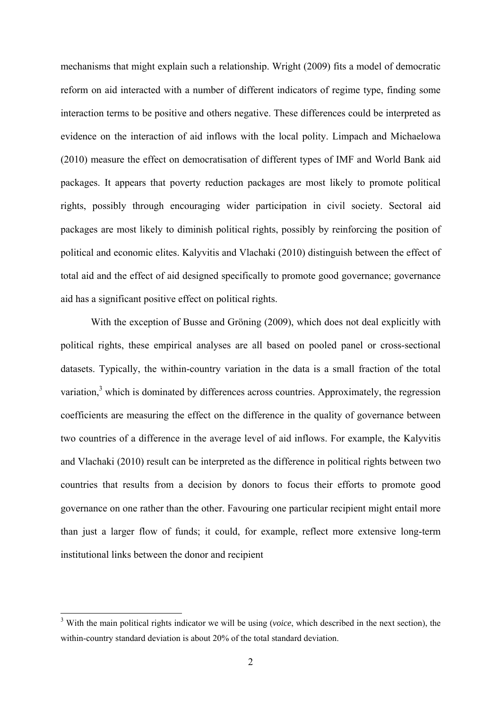mechanisms that might explain such a relationship. Wright (2009) fits a model of democratic reform on aid interacted with a number of different indicators of regime type, finding some interaction terms to be positive and others negative. These differences could be interpreted as evidence on the interaction of aid inflows with the local polity. Limpach and Michaelowa (2010) measure the effect on democratisation of different types of IMF and World Bank aid packages. It appears that poverty reduction packages are most likely to promote political rights, possibly through encouraging wider participation in civil society. Sectoral aid packages are most likely to diminish political rights, possibly by reinforcing the position of political and economic elites. Kalyvitis and Vlachaki (2010) distinguish between the effect of total aid and the effect of aid designed specifically to promote good governance; governance aid has a significant positive effect on political rights.

 With the exception of Busse and Gröning (2009), which does not deal explicitly with political rights, these empirical analyses are all based on pooled panel or cross-sectional datasets. Typically, the within-country variation in the data is a small fraction of the total variation,<sup>3</sup> which is dominated by differences across countries. Approximately, the regression coefficients are measuring the effect on the difference in the quality of governance between two countries of a difference in the average level of aid inflows. For example, the Kalyvitis and Vlachaki (2010) result can be interpreted as the difference in political rights between two countries that results from a decision by donors to focus their efforts to promote good governance on one rather than the other. Favouring one particular recipient might entail more than just a larger flow of funds; it could, for example, reflect more extensive long-term institutional links between the donor and recipient

 $\overline{a}$ 

<sup>&</sup>lt;sup>3</sup> With the main political rights indicator we will be using (*voice*, which described in the next section), the within-country standard deviation is about 20% of the total standard deviation.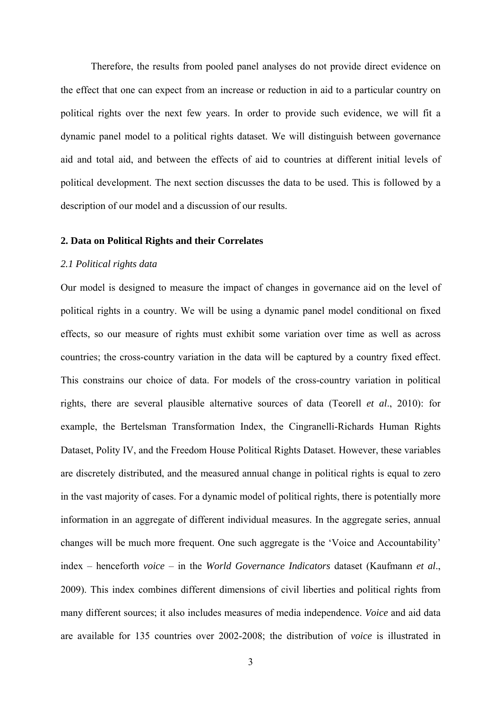Therefore, the results from pooled panel analyses do not provide direct evidence on the effect that one can expect from an increase or reduction in aid to a particular country on political rights over the next few years. In order to provide such evidence, we will fit a dynamic panel model to a political rights dataset. We will distinguish between governance aid and total aid, and between the effects of aid to countries at different initial levels of political development. The next section discusses the data to be used. This is followed by a description of our model and a discussion of our results.

#### **2. Data on Political Rights and their Correlates**

### *2.1 Political rights data*

Our model is designed to measure the impact of changes in governance aid on the level of political rights in a country. We will be using a dynamic panel model conditional on fixed effects, so our measure of rights must exhibit some variation over time as well as across countries; the cross-country variation in the data will be captured by a country fixed effect. This constrains our choice of data. For models of the cross-country variation in political rights, there are several plausible alternative sources of data (Teorell *et al*., 2010): for example, the Bertelsman Transformation Index, the Cingranelli-Richards Human Rights Dataset, Polity IV, and the Freedom House Political Rights Dataset. However, these variables are discretely distributed, and the measured annual change in political rights is equal to zero in the vast majority of cases. For a dynamic model of political rights, there is potentially more information in an aggregate of different individual measures. In the aggregate series, annual changes will be much more frequent. One such aggregate is the 'Voice and Accountability' index – henceforth *voice* – in the *World Governance Indicators* dataset (Kaufmann *et al*., 2009). This index combines different dimensions of civil liberties and political rights from many different sources; it also includes measures of media independence. *Voice* and aid data are available for 135 countries over 2002-2008; the distribution of *voice* is illustrated in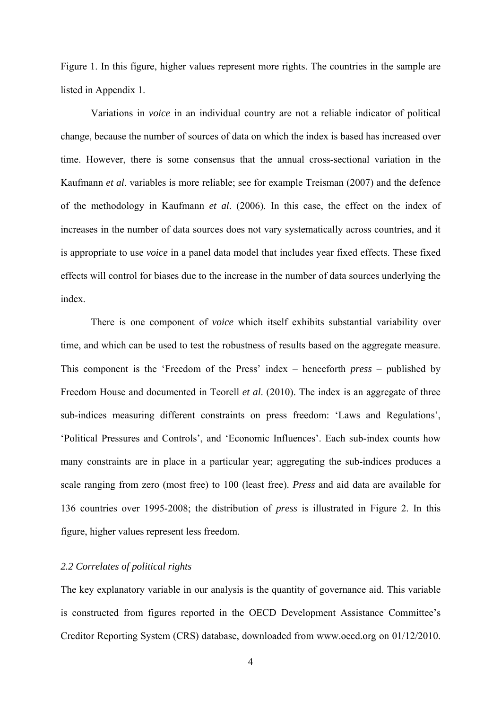Figure 1. In this figure, higher values represent more rights. The countries in the sample are listed in Appendix 1.

Variations in *voice* in an individual country are not a reliable indicator of political change, because the number of sources of data on which the index is based has increased over time. However, there is some consensus that the annual cross-sectional variation in the Kaufmann *et al*. variables is more reliable; see for example Treisman (2007) and the defence of the methodology in Kaufmann *et al*. (2006). In this case, the effect on the index of increases in the number of data sources does not vary systematically across countries, and it is appropriate to use *voice* in a panel data model that includes year fixed effects. These fixed effects will control for biases due to the increase in the number of data sources underlying the index.

 There is one component of *voice* which itself exhibits substantial variability over time, and which can be used to test the robustness of results based on the aggregate measure. This component is the 'Freedom of the Press' index – henceforth *press* – published by Freedom House and documented in Teorell *et al*. (2010). The index is an aggregate of three sub-indices measuring different constraints on press freedom: 'Laws and Regulations', 'Political Pressures and Controls', and 'Economic Influences'. Each sub-index counts how many constraints are in place in a particular year; aggregating the sub-indices produces a scale ranging from zero (most free) to 100 (least free). *Press* and aid data are available for 136 countries over 1995-2008; the distribution of *press* is illustrated in Figure 2. In this figure, higher values represent less freedom.

### *2.2 Correlates of political rights*

The key explanatory variable in our analysis is the quantity of governance aid. This variable is constructed from figures reported in the OECD Development Assistance Committee's Creditor Reporting System (CRS) database, downloaded from www.oecd.org on 01/12/2010.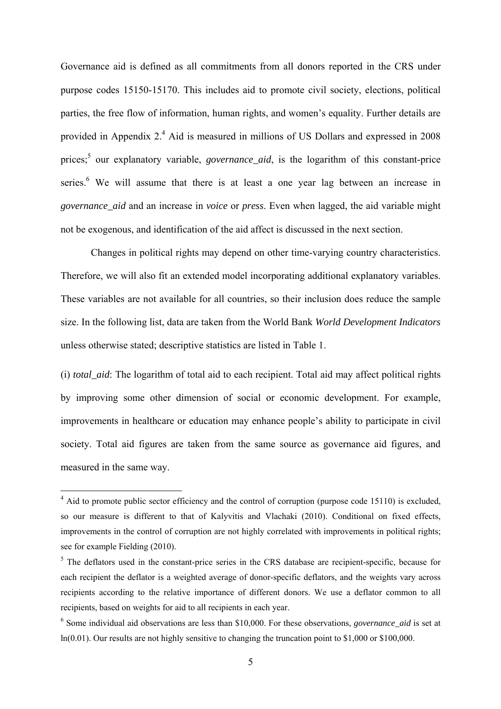Governance aid is defined as all commitments from all donors reported in the CRS under purpose codes 15150-15170. This includes aid to promote civil society, elections, political parties, the free flow of information, human rights, and women's equality. Further details are provided in Appendix 2.<sup>4</sup> Aid is measured in millions of US Dollars and expressed in 2008 prices;<sup>5</sup> our explanatory variable, *governance\_aid*, is the logarithm of this constant-price series.<sup>6</sup> We will assume that there is at least a one year lag between an increase in *governance\_aid* and an increase in *voice* or *press*. Even when lagged, the aid variable might not be exogenous, and identification of the aid affect is discussed in the next section.

 Changes in political rights may depend on other time-varying country characteristics. Therefore, we will also fit an extended model incorporating additional explanatory variables. These variables are not available for all countries, so their inclusion does reduce the sample size. In the following list, data are taken from the World Bank *World Development Indicators* unless otherwise stated; descriptive statistics are listed in Table 1.

(i) *total\_aid*: The logarithm of total aid to each recipient. Total aid may affect political rights by improving some other dimension of social or economic development. For example, improvements in healthcare or education may enhance people's ability to participate in civil society. Total aid figures are taken from the same source as governance aid figures, and measured in the same way.

<sup>&</sup>lt;sup>4</sup> Aid to promote public sector efficiency and the control of corruption (purpose code 15110) is excluded, so our measure is different to that of Kalyvitis and Vlachaki (2010). Conditional on fixed effects, improvements in the control of corruption are not highly correlated with improvements in political rights; see for example Fielding (2010).

 $<sup>5</sup>$  The deflators used in the constant-price series in the CRS database are recipient-specific, because for</sup> each recipient the deflator is a weighted average of donor-specific deflators, and the weights vary across recipients according to the relative importance of different donors. We use a deflator common to all recipients, based on weights for aid to all recipients in each year.

<sup>&</sup>lt;sup>6</sup> Some individual aid observations are less than \$10,000. For these observations, *governance\_aid* is set at ln(0.01). Our results are not highly sensitive to changing the truncation point to \$1,000 or \$100,000.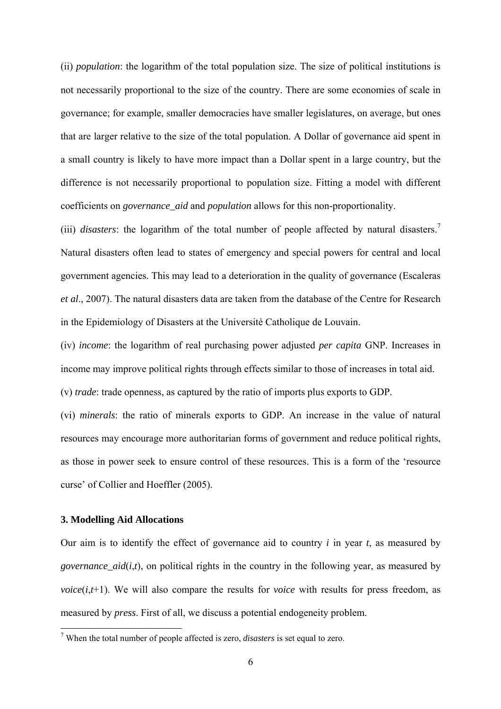(ii) *population*: the logarithm of the total population size. The size of political institutions is not necessarily proportional to the size of the country. There are some economies of scale in governance; for example, smaller democracies have smaller legislatures, on average, but ones that are larger relative to the size of the total population. A Dollar of governance aid spent in a small country is likely to have more impact than a Dollar spent in a large country, but the difference is not necessarily proportional to population size. Fitting a model with different coefficients on *governance\_aid* and *population* allows for this non-proportionality.

(iii) *disasters*: the logarithm of the total number of people affected by natural disasters.<sup>7</sup> Natural disasters often lead to states of emergency and special powers for central and local government agencies. This may lead to a deterioration in the quality of governance (Escaleras *et al*., 2007). The natural disasters data are taken from the database of the Centre for Research in the Epidemiology of Disasters at the Université Catholique de Louvain.

(iv) *income*: the logarithm of real purchasing power adjusted *per capita* GNP. Increases in income may improve political rights through effects similar to those of increases in total aid. (v) *trade*: trade openness, as captured by the ratio of imports plus exports to GDP.

(vi) *minerals*: the ratio of minerals exports to GDP. An increase in the value of natural resources may encourage more authoritarian forms of government and reduce political rights, as those in power seek to ensure control of these resources. This is a form of the 'resource curse' of Collier and Hoeffler (2005).

### **3. Modelling Aid Allocations**

Our aim is to identify the effect of governance aid to country *i* in year *t*, as measured by *governance\_aid*(*i*,*t*), on political rights in the country in the following year, as measured by *voice*( $i$ , $t$ +1). We will also compare the results for *voice* with results for press freedom, as measured by *press*. First of all, we discuss a potential endogeneity problem.

 7 When the total number of people affected is zero, *disasters* is set equal to zero.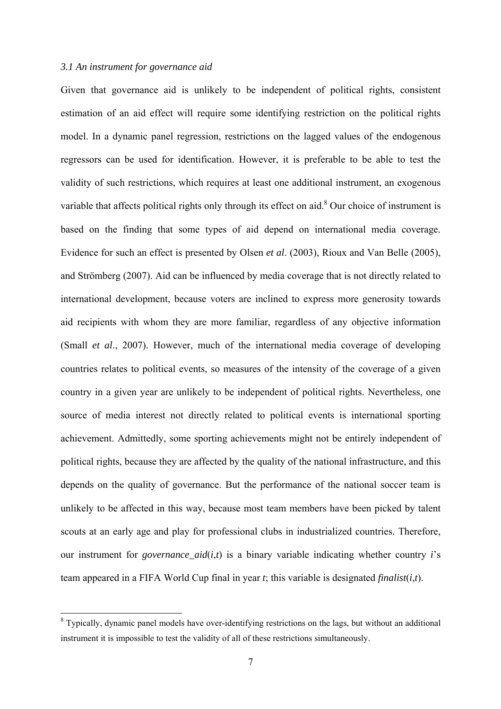### *3.1 An instrument for governance aid*

 $\overline{a}$ 

Given that governance aid is unlikely to be independent of political rights, consistent estimation of an aid effect will require some identifying restriction on the political rights model. In a dynamic panel regression, restrictions on the lagged values of the endogenous regressors can be used for identification. However, it is preferable to be able to test the validity of such restrictions, which requires at least one additional instrument, an exogenous variable that affects political rights only through its effect on aid. $8$  Our choice of instrument is based on the finding that some types of aid depend on international media coverage. Evidence for such an effect is presented by Olsen *et al*. (2003), Rioux and Van Belle (2005), and Strömberg (2007). Aid can be influenced by media coverage that is not directly related to international development, because voters are inclined to express more generosity towards aid recipients with whom they are more familiar, regardless of any objective information (Small *et al*., 2007). However, much of the international media coverage of developing countries relates to political events, so measures of the intensity of the coverage of a given country in a given year are unlikely to be independent of political rights. Nevertheless, one source of media interest not directly related to political events is international sporting achievement. Admittedly, some sporting achievements might not be entirely independent of political rights, because they are affected by the quality of the national infrastructure, and this depends on the quality of governance. But the performance of the national soccer team is unlikely to be affected in this way, because most team members have been picked by talent scouts at an early age and play for professional clubs in industrialized countries. Therefore, our instrument for *governance\_aid*(*i*,*t*) is a binary variable indicating whether country *i*'s team appeared in a FIFA World Cup final in year *t*; this variable is designated *finalist*(*i*,*t*).

<sup>&</sup>lt;sup>8</sup> Typically, dynamic panel models have over-identifying restrictions on the lags, but without an additional instrument it is impossible to test the validity of all of these restrictions simultaneously.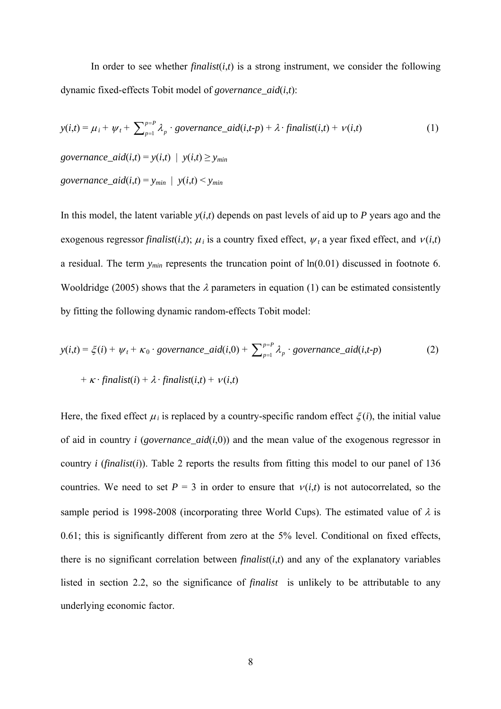In order to see whether  $finalist(i,t)$  is a strong instrument, we consider the following dynamic fixed-effects Tobit model of *governance\_aid*(*i*,*t*):

$$
y(i,t) = \mu_i + \psi_t + \sum_{p=1}^{p=P} \lambda_p \cdot governance\_aid(i,t-p) + \lambda \cdot finalist(i,t) + \nu(i,t)
$$
  
\ngovernance\\_aid(i,t) = y(i,t) | y(i,t) \ge y\_{min}  
\ngovernance\\_aid(i,t) = y\_{min} | y(i,t) < y\_{min}

In this model, the latent variable  $y(i,t)$  depends on past levels of aid up to *P* years ago and the exogenous regressor *finalist*(*i*,*t*);  $\mu_i$  is a country fixed effect,  $\psi_t$  a year fixed effect, and  $v(i,t)$ a residual. The term *ymin* represents the truncation point of ln(0.01) discussed in footnote 6. Wooldridge (2005) shows that the  $\lambda$  parameters in equation (1) can be estimated consistently by fitting the following dynamic random-effects Tobit model:

$$
y(i,t) = \xi(i) + \psi_t + \kappa_0 \cdot \text{governance\_aid}(i,0) + \sum_{p=1}^{p=P} \lambda_p \cdot \text{governance\_aid}(i,t-p)
$$
  
+  $\kappa \cdot \text{finalist}(i) + \lambda \cdot \text{finalist}(i,t) + \nu(i,t)$  (2)

Here, the fixed effect  $\mu_i$  is replaced by a country-specific random effect  $\xi(i)$ , the initial value of aid in country *i* (*governance\_aid*(*i*,0)) and the mean value of the exogenous regressor in country *i* (*finalist*(*i*)). Table 2 reports the results from fitting this model to our panel of 136 countries. We need to set  $P = 3$  in order to ensure that  $v(i,t)$  is not autocorrelated, so the sample period is 1998-2008 (incorporating three World Cups). The estimated value of  $\lambda$  is 0.61; this is significantly different from zero at the 5% level. Conditional on fixed effects, there is no significant correlation between  $finalist(i,t)$  and any of the explanatory variables listed in section 2.2, so the significance of *finalist* is unlikely to be attributable to any underlying economic factor.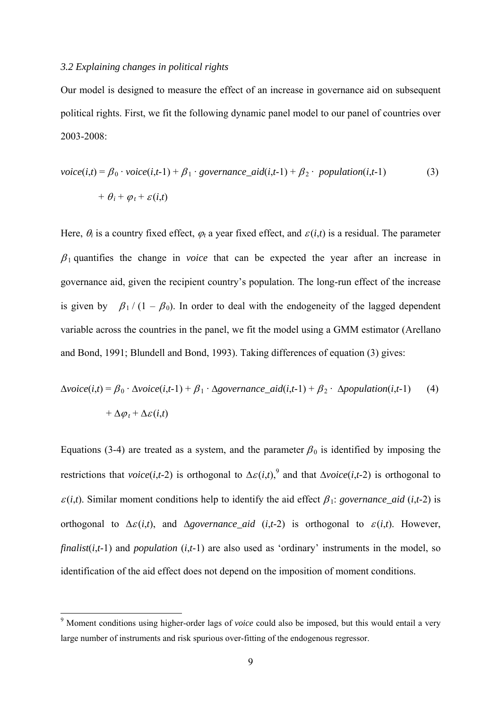### *3.2 Explaining changes in political rights*

 $\overline{a}$ 

Our model is designed to measure the effect of an increase in governance aid on subsequent political rights. First, we fit the following dynamic panel model to our panel of countries over 2003-2008:

$$
voice(i,t) = \beta_0 \cdot voice(i,t-1) + \beta_1 \cdot governance\_aid(i,t-1) + \beta_2 \cdot population(i,t-1)
$$
  
+  $\theta_i + \varphi_t + \varepsilon(i,t)$  (3)

Here,  $\theta_i$  is a country fixed effect,  $\varphi_t$  a year fixed effect, and  $\varepsilon(i,t)$  is a residual. The parameter  $\beta_1$  quantifies the change in *voice* that can be expected the year after an increase in governance aid, given the recipient country's population. The long-run effect of the increase is given by  $\beta_1$  / (1 –  $\beta_0$ ). In order to deal with the endogeneity of the lagged dependent variable across the countries in the panel, we fit the model using a GMM estimator (Arellano and Bond, 1991; Blundell and Bond, 1993). Taking differences of equation (3) gives:

$$
\Delta voice(i,t) = \beta_0 \cdot \Delta voice(i,t-1) + \beta_1 \cdot \Delta governance\_aid(i,t-1) + \beta_2 \cdot \Delta population(i,t-1)
$$
\n
$$
+ \Delta \varphi_t + \Delta \varepsilon(i,t)
$$
\n(4)

Equations (3-4) are treated as a system, and the parameter  $\beta_0$  is identified by imposing the restrictions that *voice*(*i*,*t*-2) is orthogonal to  $\Delta \varepsilon(i,t)$ ,<sup>9</sup> and that  $\Delta \textit{voice}(i,t-2)$  is orthogonal to  $\varepsilon$ (*i,t*). Similar moment conditions help to identify the aid effect  $\beta_1$ : *governance\_aid* (*i,t*-2) is orthogonal to  $\Delta \varepsilon (i,t)$ , and  $\Delta$ *governance aid* (*i*,*t*-2) is orthogonal to  $\varepsilon (i,t)$ . However, *finalist*( $i$ , $t$ -1) and *population* ( $i$ , $t$ -1) are also used as 'ordinary' instruments in the model, so identification of the aid effect does not depend on the imposition of moment conditions.

<sup>9</sup> Moment conditions using higher-order lags of *voice* could also be imposed, but this would entail a very large number of instruments and risk spurious over-fitting of the endogenous regressor.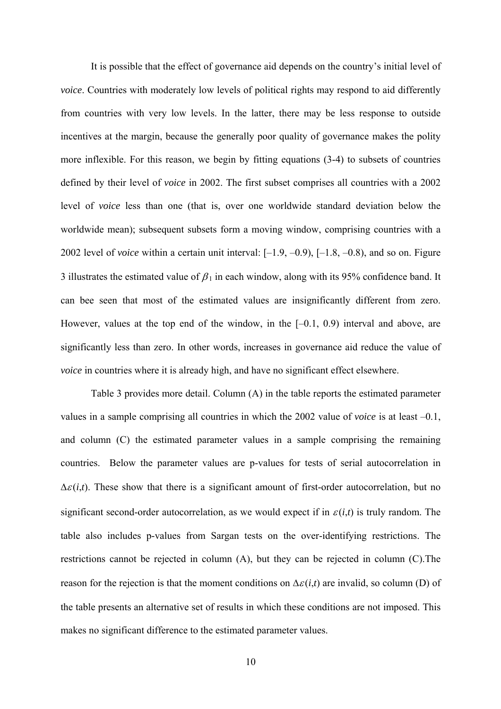It is possible that the effect of governance aid depends on the country's initial level of *voice*. Countries with moderately low levels of political rights may respond to aid differently from countries with very low levels. In the latter, there may be less response to outside incentives at the margin, because the generally poor quality of governance makes the polity more inflexible. For this reason, we begin by fitting equations (3-4) to subsets of countries defined by their level of *voice* in 2002. The first subset comprises all countries with a 2002 level of *voice* less than one (that is, over one worldwide standard deviation below the worldwide mean); subsequent subsets form a moving window, comprising countries with a 2002 level of *voice* within a certain unit interval: [–1.9, –0.9), [–1.8, –0.8), and so on. Figure 3 illustrates the estimated value of  $\beta_1$  in each window, along with its 95% confidence band. It can bee seen that most of the estimated values are insignificantly different from zero. However, values at the top end of the window, in the  $[-0.1, 0.9)$  interval and above, are significantly less than zero. In other words, increases in governance aid reduce the value of *voice* in countries where it is already high, and have no significant effect elsewhere.

 Table 3 provides more detail. Column (A) in the table reports the estimated parameter values in a sample comprising all countries in which the 2002 value of *voice* is at least –0.1, and column (C) the estimated parameter values in a sample comprising the remaining countries. Below the parameter values are p-values for tests of serial autocorrelation in  $\Delta \varepsilon(i,t)$ . These show that there is a significant amount of first-order autocorrelation, but no significant second-order autocorrelation, as we would expect if in  $\varepsilon(i,t)$  is truly random. The table also includes p-values from Sargan tests on the over-identifying restrictions. The restrictions cannot be rejected in column (A), but they can be rejected in column (C).The reason for the rejection is that the moment conditions on  $\Delta \varepsilon(i,t)$  are invalid, so column (D) of the table presents an alternative set of results in which these conditions are not imposed. This makes no significant difference to the estimated parameter values.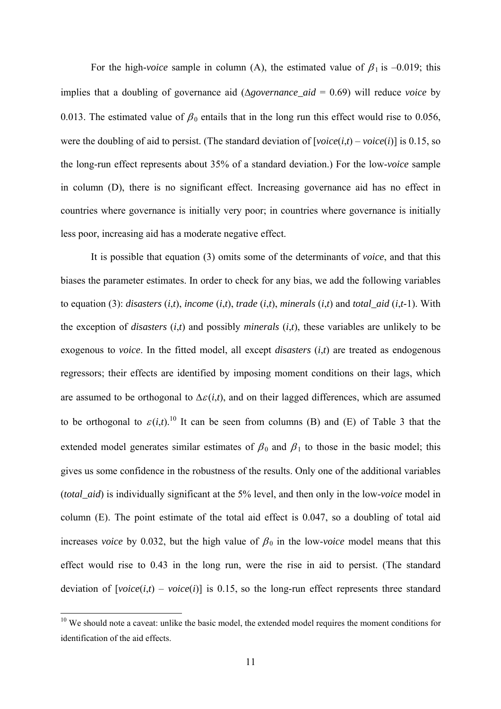For the high-*voice* sample in column (A), the estimated value of  $\beta_1$  is -0.019; this implies that a doubling of governance aid (Δ*governance\_aid* = 0.69) will reduce *voice* by 0.013. The estimated value of  $\beta_0$  entails that in the long run this effect would rise to 0.056, were the doubling of aid to persist. (The standard deviation of  $[voice(i,t) - voice(i)]$  is 0.15, so the long-run effect represents about 35% of a standard deviation.) For the low-*voice* sample in column (D), there is no significant effect. Increasing governance aid has no effect in countries where governance is initially very poor; in countries where governance is initially less poor, increasing aid has a moderate negative effect.

 It is possible that equation (3) omits some of the determinants of *voice*, and that this biases the parameter estimates. In order to check for any bias, we add the following variables to equation (3): *disasters* (*i*,*t*), *income* (*i*,*t*), *trade* (*i*,*t*), *minerals* (*i*,*t*) and *total\_aid* (*i*,*t*-1). With the exception of *disasters*  $(i,t)$  and possibly *minerals*  $(i,t)$ , these variables are unlikely to be exogenous to *voice*. In the fitted model, all except *disasters* (*i*,*t*) are treated as endogenous regressors; their effects are identified by imposing moment conditions on their lags, which are assumed to be orthogonal to  $\Delta\varepsilon(i,t)$ , and on their lagged differences, which are assumed to be orthogonal to  $\varepsilon(i,t)$ .<sup>10</sup> It can be seen from columns (B) and (E) of Table 3 that the extended model generates similar estimates of  $\beta_0$  and  $\beta_1$  to those in the basic model; this gives us some confidence in the robustness of the results. Only one of the additional variables (*total\_aid*) is individually significant at the 5% level, and then only in the low-*voice* model in column (E). The point estimate of the total aid effect is 0.047, so a doubling of total aid increases *voice* by 0.032, but the high value of  $\beta_0$  in the low-*voice* model means that this effect would rise to 0.43 in the long run, were the rise in aid to persist. (The standard deviation of  $[voice(i, t) - voice(i)]$  is 0.15, so the long-run effect represents three standard

 $\overline{a}$ 

 $10$  We should note a caveat: unlike the basic model, the extended model requires the moment conditions for identification of the aid effects.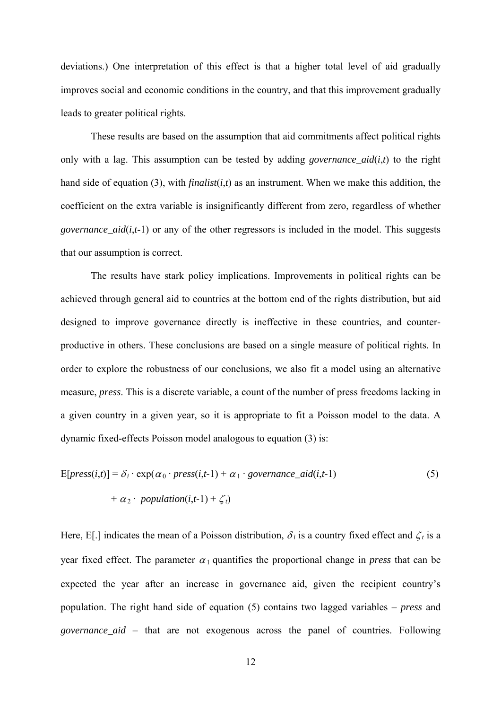deviations.) One interpretation of this effect is that a higher total level of aid gradually improves social and economic conditions in the country, and that this improvement gradually leads to greater political rights.

 These results are based on the assumption that aid commitments affect political rights only with a lag. This assumption can be tested by adding *governance\_aid*( $i$ , $t$ ) to the right hand side of equation (3), with *finalist*(*i*,*t*) as an instrument. When we make this addition, the coefficient on the extra variable is insignificantly different from zero, regardless of whether *governance aid*( $i$ ,*t*-1) or any of the other regressors is included in the model. This suggests that our assumption is correct.

 The results have stark policy implications. Improvements in political rights can be achieved through general aid to countries at the bottom end of the rights distribution, but aid designed to improve governance directly is ineffective in these countries, and counterproductive in others. These conclusions are based on a single measure of political rights. In order to explore the robustness of our conclusions, we also fit a model using an alternative measure, *press*. This is a discrete variable, a count of the number of press freedoms lacking in a given country in a given year, so it is appropriate to fit a Poisson model to the data. A dynamic fixed-effects Poisson model analogous to equation (3) is:

$$
E[press(i,t)] = \delta_i \cdot \exp(\alpha_0 \cdot press(i,t-1) + \alpha_1 \cdot governance\_aid(i,t-1)
$$
  
+  $\alpha_2 \cdot population(i,t-1) + \zeta_t$  (5)

Here, E[.] indicates the mean of a Poisson distribution,  $\delta_i$  is a country fixed effect and  $\zeta_i$  is a year fixed effect. The parameter  $\alpha_1$  quantifies the proportional change in *press* that can be expected the year after an increase in governance aid, given the recipient country's population. The right hand side of equation (5) contains two lagged variables – *press* and *governance\_aid* – that are not exogenous across the panel of countries. Following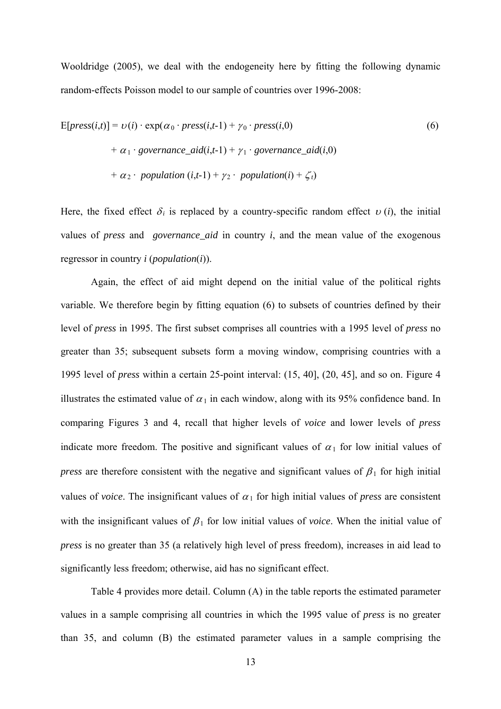Wooldridge (2005), we deal with the endogeneity here by fitting the following dynamic random-effects Poisson model to our sample of countries over 1996-2008:

$$
E[press(i,t)] = \nu(i) \cdot \exp(\alpha_0 \cdot press(i,t-1) + \gamma_0 \cdot press(i,0)
$$
  
+  $\alpha_1 \cdot governance\_aid(i,t-1) + \gamma_1 \cdot governance\_aid(i,0)$   
+  $\alpha_2 \cdot population(i,t-1) + \gamma_2 \cdot population(i) + \zeta_t)$  (6)

Here, the fixed effect  $\delta_i$  is replaced by a country-specific random effect  $\upsilon$  (*i*), the initial values of *press* and *governance aid* in country *i*, and the mean value of the exogenous regressor in country *i* (*population*(*i*)).

 Again, the effect of aid might depend on the initial value of the political rights variable. We therefore begin by fitting equation (6) to subsets of countries defined by their level of *press* in 1995. The first subset comprises all countries with a 1995 level of *press* no greater than 35; subsequent subsets form a moving window, comprising countries with a 1995 level of *press* within a certain 25-point interval: (15, 40], (20, 45], and so on. Figure 4 illustrates the estimated value of  $\alpha_1$  in each window, along with its 95% confidence band. In comparing Figures 3 and 4, recall that higher levels of *voice* and lower levels of *press* indicate more freedom. The positive and significant values of  $\alpha_1$  for low initial values of *press* are therefore consistent with the negative and significant values of  $\beta_1$  for high initial values of *voice*. The insignificant values of  $\alpha_1$  for high initial values of *press* are consistent with the insignificant values of  $\beta_1$  for low initial values of *voice*. When the initial value of *press* is no greater than 35 (a relatively high level of press freedom), increases in aid lead to significantly less freedom; otherwise, aid has no significant effect.

 Table 4 provides more detail. Column (A) in the table reports the estimated parameter values in a sample comprising all countries in which the 1995 value of *press* is no greater than 35, and column (B) the estimated parameter values in a sample comprising the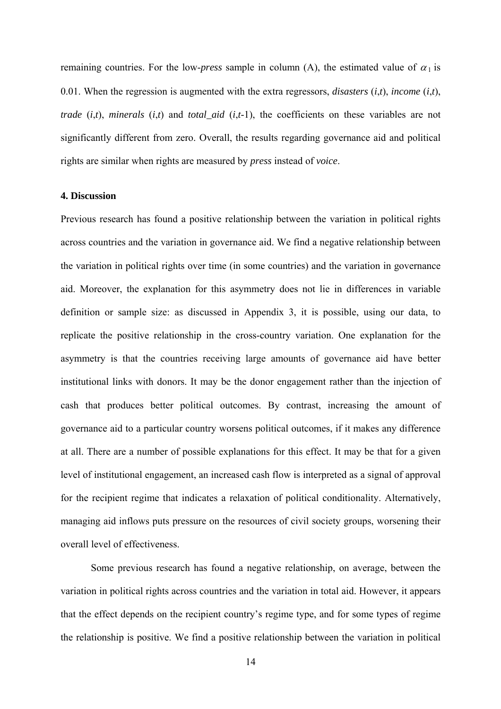remaining countries. For the low-*press* sample in column (A), the estimated value of  $\alpha_1$  is 0.01. When the regression is augmented with the extra regressors, *disasters* (*i*,*t*), *income* (*i*,*t*), *trade* (*i*,*t*), *minerals* (*i*,*t*) and *total\_aid* (*i*,*t*-1), the coefficients on these variables are not significantly different from zero. Overall, the results regarding governance aid and political rights are similar when rights are measured by *press* instead of *voice*.

#### **4. Discussion**

Previous research has found a positive relationship between the variation in political rights across countries and the variation in governance aid. We find a negative relationship between the variation in political rights over time (in some countries) and the variation in governance aid. Moreover, the explanation for this asymmetry does not lie in differences in variable definition or sample size: as discussed in Appendix 3, it is possible, using our data, to replicate the positive relationship in the cross-country variation. One explanation for the asymmetry is that the countries receiving large amounts of governance aid have better institutional links with donors. It may be the donor engagement rather than the injection of cash that produces better political outcomes. By contrast, increasing the amount of governance aid to a particular country worsens political outcomes, if it makes any difference at all. There are a number of possible explanations for this effect. It may be that for a given level of institutional engagement, an increased cash flow is interpreted as a signal of approval for the recipient regime that indicates a relaxation of political conditionality. Alternatively, managing aid inflows puts pressure on the resources of civil society groups, worsening their overall level of effectiveness.

 Some previous research has found a negative relationship, on average, between the variation in political rights across countries and the variation in total aid. However, it appears that the effect depends on the recipient country's regime type, and for some types of regime the relationship is positive. We find a positive relationship between the variation in political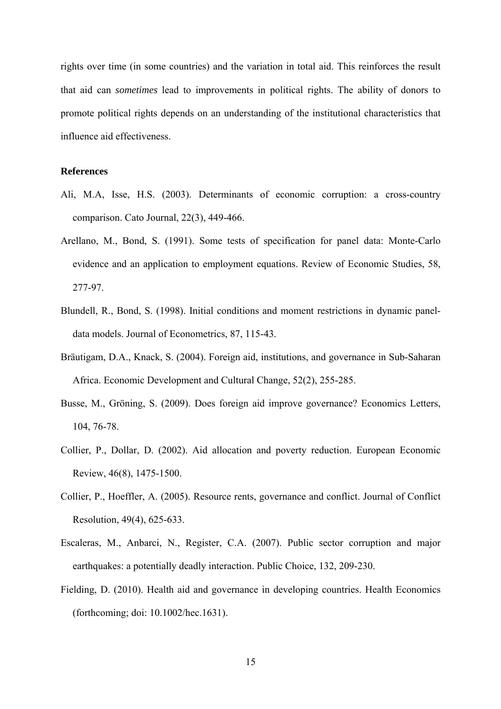rights over time (in some countries) and the variation in total aid. This reinforces the result that aid can *sometimes* lead to improvements in political rights. The ability of donors to promote political rights depends on an understanding of the institutional characteristics that influence aid effectiveness.

### **References**

- Ali, M.A, Isse, H.S. (2003). Determinants of economic corruption: a cross-country comparison. Cato Journal, 22(3), 449-466.
- Arellano, M., Bond, S. (1991). Some tests of specification for panel data: Monte-Carlo evidence and an application to employment equations. Review of Economic Studies, 58, 277-97.
- Blundell, R., Bond, S. (1998). Initial conditions and moment restrictions in dynamic paneldata models. Journal of Econometrics, 87, 115-43.
- Bräutigam, D.A., Knack, S. (2004). Foreign aid, institutions, and governance in Sub-Saharan Africa. Economic Development and Cultural Change, 52(2), 255-285.
- Busse, M., Gröning, S. (2009). Does foreign aid improve governance? Economics Letters, 104, 76-78.
- Collier, P., Dollar, D. (2002). Aid allocation and poverty reduction. European Economic Review, 46(8), 1475-1500.
- Collier, P., Hoeffler, A. (2005). Resource rents, governance and conflict. Journal of Conflict Resolution, 49(4), 625-633.
- Escaleras, M., Anbarci, N., Register, C.A. (2007). Public sector corruption and major earthquakes: a potentially deadly interaction. Public Choice, 132, 209-230.
- Fielding, D. (2010). Health aid and governance in developing countries. Health Economics (forthcoming; doi: 10.1002/hec.1631).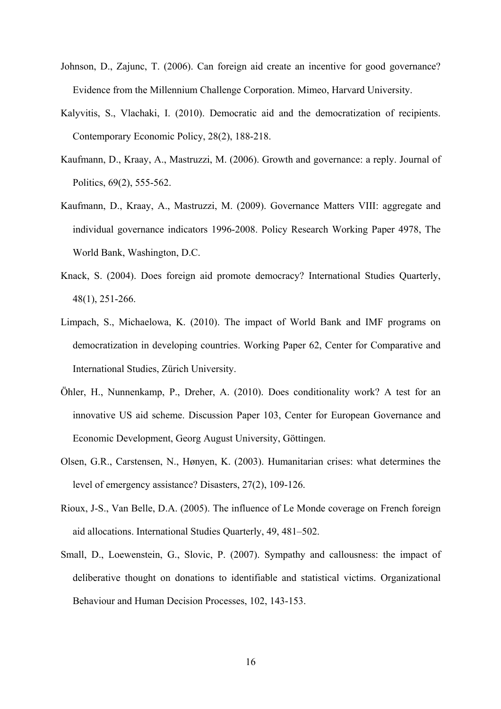- Johnson, D., Zajunc, T. (2006). Can foreign aid create an incentive for good governance? Evidence from the Millennium Challenge Corporation. Mimeo, Harvard University.
- Kalyvitis, S., Vlachaki, I. (2010). Democratic aid and the democratization of recipients. Contemporary Economic Policy, 28(2), 188-218.
- Kaufmann, D., Kraay, A., Mastruzzi, M. (2006). Growth and governance: a reply. Journal of Politics, 69(2), 555-562.
- Kaufmann, D., Kraay, A., Mastruzzi, M. (2009). Governance Matters VIII: aggregate and individual governance indicators 1996-2008. Policy Research Working Paper 4978, The World Bank, Washington, D.C.
- Knack, S. (2004). Does foreign aid promote democracy? International Studies Quarterly, 48(1), 251-266.
- Limpach, S., Michaelowa, K. (2010). The impact of World Bank and IMF programs on democratization in developing countries. Working Paper 62, Center for Comparative and International Studies, Zürich University.
- Öhler, H., Nunnenkamp, P., Dreher, A. (2010). Does conditionality work? A test for an innovative US aid scheme. Discussion Paper 103, Center for European Governance and Economic Development, Georg August University, Göttingen.
- Olsen, G.R., Carstensen, N., Hønyen, K. (2003). Humanitarian crises: what determines the level of emergency assistance? Disasters, 27(2), 109-126.
- Rioux, J-S., Van Belle, D.A. (2005). The influence of Le Monde coverage on French foreign aid allocations. International Studies Quarterly, 49, 481–502.
- Small, D., Loewenstein, G., Slovic, P. (2007). Sympathy and callousness: the impact of deliberative thought on donations to identifiable and statistical victims. Organizational Behaviour and Human Decision Processes, 102, 143-153.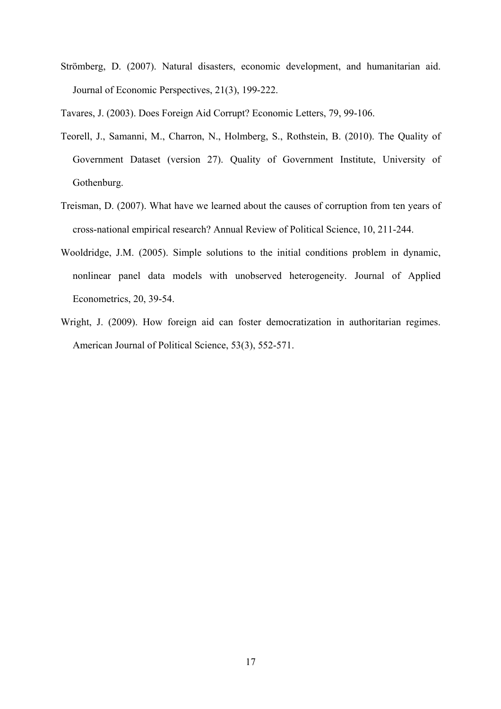Strömberg, D. (2007). Natural disasters, economic development, and humanitarian aid. Journal of Economic Perspectives, 21(3), 199-222.

Tavares, J. (2003). Does Foreign Aid Corrupt? Economic Letters, 79, 99-106.

- Teorell, J., Samanni, M., Charron, N., Holmberg, S., Rothstein, B. (2010). The Quality of Government Dataset (version 27). Quality of Government Institute, University of Gothenburg.
- Treisman, D. (2007). What have we learned about the causes of corruption from ten years of cross-national empirical research? Annual Review of Political Science, 10, 211-244.
- Wooldridge, J.M. (2005). Simple solutions to the initial conditions problem in dynamic, nonlinear panel data models with unobserved heterogeneity. Journal of Applied Econometrics, 20, 39-54.
- Wright, J. (2009). How foreign aid can foster democratization in authoritarian regimes. American Journal of Political Science, 53(3), 552-571.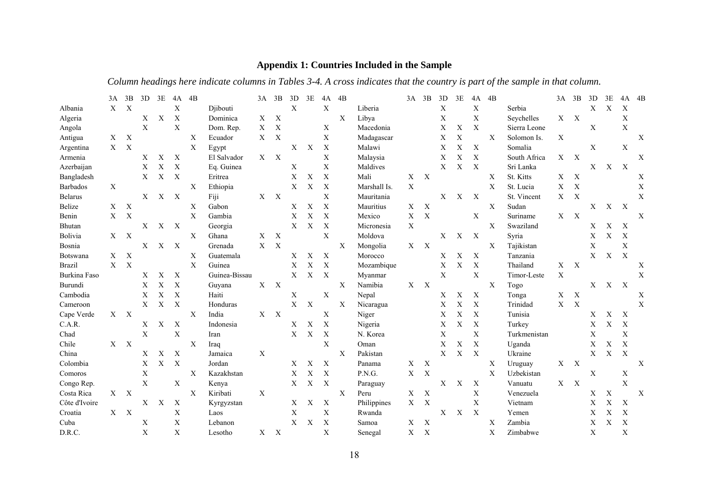# **Appendix 1: Countries Included in the Sample**

*Column headings here indicate columns in Tables 3-4. A cross indicates that the country is part of the sample in that column.* 

|               | 3A      | 3B                        | 3D | 3E                        | 4A                        | 4B |               | 3A           | 3B                        | 3D          | 3E | 4A                        | 4B |              | 3A               | 3B                        | 3D               | 3E          | 4A                        | 4B          |              | 3A                        | 3B                        | 3D | 3E                        | $4A$ $4B$                 |                           |
|---------------|---------|---------------------------|----|---------------------------|---------------------------|----|---------------|--------------|---------------------------|-------------|----|---------------------------|----|--------------|------------------|---------------------------|------------------|-------------|---------------------------|-------------|--------------|---------------------------|---------------------------|----|---------------------------|---------------------------|---------------------------|
| Albania       | X       | $\boldsymbol{X}$          |    |                           | Χ                         |    | Djibouti      |              |                           | $\mathbf X$ |    | X                         |    | Liberia      |                  |                           | X                |             | X                         |             | Serbia       |                           |                           | Χ  | X                         | X                         |                           |
| Algeria       |         |                           | X  | X                         | X                         |    | Dominica      | X            | X                         |             |    |                           | X  | Libya        |                  |                           | X                |             | X                         |             | Seychelles   | $X$ $X$                   |                           |    |                           | $\boldsymbol{\mathrm{X}}$ |                           |
| Angola        |         |                           | X  |                           | X                         |    | Dom. Rep.     | X            | X                         |             |    | X                         |    | Macedonia    |                  |                           | X                | X           | X                         |             | Sierra Leone |                           |                           | X  |                           | X                         |                           |
| Antigua       | X       | X                         |    |                           |                           | X  | Ecuador       | X            | X                         |             |    | X                         |    | Madagascar   |                  |                           | X                | X           |                           | X           | Solomon Is.  | $\mathbf X$               |                           |    |                           |                           | X                         |
| Argentina     | X       | X                         |    |                           |                           | X  | Egypt         |              |                           | X           | X  | X                         |    | Malawi       |                  |                           | X                | X           | $\mathbf X$               |             | Somalia      |                           |                           | X  |                           | X                         |                           |
| Armenia       |         |                           | X  | X                         | X                         |    | El Salvador   | $\mathbf{X}$ | X                         |             |    | $\mathbf X$               |    | Malaysia     |                  |                           | Χ                | X           | X                         |             | South Africa | $\boldsymbol{X}$          | X                         |    |                           |                           | X                         |
| Azerbaijan    |         |                           | X  | X                         | X                         |    | Eq. Guinea    |              |                           | X           |    | X                         |    | Maldives     |                  |                           | X                | X           | $\mathbf X$               |             | Sri Lanka    |                           |                           | X  | $\boldsymbol{\mathrm{X}}$ | $\boldsymbol{\mathrm{X}}$ |                           |
| Bangladesh    |         |                           | X  | X                         | X                         |    | Eritrea       |              |                           | Χ           | X  | X                         |    | Mali         | X                | $\boldsymbol{\mathrm{X}}$ |                  |             |                           | X           | St. Kitts    | X                         | X                         |    |                           |                           | Χ                         |
| Barbados      | X       |                           |    |                           |                           | Χ  | Ethiopia      |              |                           | X           | X  | X                         |    | Marshall Is. | X                |                           |                  |             |                           | X           | St. Lucia    | X                         | X                         |    |                           |                           | X                         |
| Belarus       |         |                           | X  | $\mathbf{X}$              | $\mathbf{X}$              |    | Fiji          | X            | $\boldsymbol{\mathrm{X}}$ |             |    | $\boldsymbol{\mathrm{X}}$ |    | Mauritania   |                  |                           | X                | $\mathbf X$ | $\boldsymbol{X}$          |             | St. Vincent  | X                         | $\boldsymbol{X}$          |    |                           |                           | X                         |
| <b>Belize</b> | X       | X                         |    |                           |                           | X  | Gabon         |              |                           | X           | X  | X                         |    | Mauritius    | $\mathbf{X}$     | X                         |                  |             |                           | $\mathbf X$ | Sudan        |                           |                           | X  | $X$ $X$                   |                           |                           |
| Benin         | X       | $\boldsymbol{\mathrm{X}}$ |    |                           |                           | X  | Gambia        |              |                           | X           | X  | X                         |    | Mexico       | $\mathbf{X}$     | $\boldsymbol{\mathrm{X}}$ |                  |             | $\boldsymbol{\mathrm{X}}$ |             | Suriname     | $\boldsymbol{\mathrm{X}}$ | $\boldsymbol{\mathrm{X}}$ |    |                           |                           | X                         |
| Bhutan        |         |                           | X  | X                         | $\boldsymbol{\mathrm{X}}$ |    | Georgia       |              |                           | X           | X  | X                         |    | Micronesia   | $\mathbf X$      |                           |                  |             |                           | X           | Swaziland    |                           |                           | X  | X                         | X                         |                           |
| Bolivia       | X       | X                         |    |                           |                           | X  | Ghana         | X            | X                         |             |    | X                         |    | Moldova      |                  |                           | $\boldsymbol{X}$ | X           | $\boldsymbol{X}$          |             | Syria        |                           |                           | Х  | Х                         | X                         |                           |
| Bosnia        |         |                           | X  | $\boldsymbol{X}$          | $\boldsymbol{\mathrm{X}}$ |    | Grenada       | X            | $\boldsymbol{\mathrm{X}}$ |             |    |                           | X  | Mongolia     | X X              |                           |                  |             |                           | X           | Tajikistan   |                           |                           | Х  |                           | X                         |                           |
| Botswana      | X       | X                         |    |                           |                           | X  | Guatemala     |              |                           | X           | X  | $\boldsymbol{X}$          |    | Morocco      |                  |                           | X                | X           | X                         |             | Tanzania     |                           |                           | X  | $\boldsymbol{\mathrm{X}}$ | $\boldsymbol{\mathrm{X}}$ |                           |
| <b>Brazil</b> | X       | X                         |    |                           |                           | X  | Guinea        |              |                           | X           | X  | X                         |    | Mozambique   |                  |                           | X                | X           | X                         |             | Thailand     | $X$ X                     |                           |    |                           |                           | X                         |
| Burkina Faso  |         |                           | X  | X                         | X                         |    | Guinea-Bissau |              |                           | X           | X  | $\boldsymbol{\mathrm{X}}$ |    | Myanmar      |                  |                           | X                |             | X                         |             | Timor-Leste  | X                         |                           |    |                           |                           | X                         |
| Burundi       |         |                           | X  | Х                         | X                         |    | Guyana        | X            | $\mathbf{X}$              |             |    |                           | X  | Namibia      | $X$ $X$          |                           |                  |             |                           | X           | Togo         |                           |                           | X  | $\mathbf X$               | X                         |                           |
| Cambodia      |         |                           | X  | Х                         | X                         |    | Haiti         |              |                           | X           |    | $\mathbf X$               |    | Nepal        |                  |                           | X                | X           | X                         |             | Tonga        | X                         | $\boldsymbol{\mathrm{X}}$ |    |                           |                           | X                         |
| Cameroon      |         |                           | X  | X                         | X                         |    | Honduras      |              |                           | X           | X  |                           | X  | Nicaragua    |                  |                           | Χ                | X           | X                         |             | Trinidad     | X                         | $\boldsymbol{\mathrm{X}}$ |    |                           |                           | $\boldsymbol{\mathrm{X}}$ |
| Cape Verde    | X X     |                           |    |                           |                           | X  | India         | X            | $\boldsymbol{\mathrm{X}}$ |             |    | X                         |    | Niger        |                  |                           | Χ                | Χ           | X                         |             | Tunisia      |                           |                           | X  | Χ                         | $\boldsymbol{\mathrm{X}}$ |                           |
| C.A.R.        |         |                           | X  | X                         | X                         |    | Indonesia     |              |                           | X           | X  | $\mathbf X$               |    | Nigeria      |                  |                           | X                | X           | X                         |             | Turkey       |                           |                           |    |                           | X                         |                           |
| Chad          |         |                           | X  |                           | $\mathbf X$               |    | Iran          |              |                           | X           | X  | $\mathbf X$               |    | N. Korea     |                  |                           | Х                |             | X                         |             | Turkmenistan |                           |                           |    |                           | X                         |                           |
| Chile         | X X     |                           |    |                           |                           | X  | Iraq          |              |                           |             |    | X                         |    | Oman         |                  |                           | Х                | Χ           | X                         |             | Uganda       |                           |                           | X  | Х                         | X                         |                           |
| China         |         |                           | X  | X                         | $\boldsymbol{\mathrm{X}}$ |    | Jamaica       | X            |                           |             |    |                           | X  | Pakistan     |                  |                           | X                | X           | $\boldsymbol{\mathrm{X}}$ |             | Ukraine      |                           |                           | X  | X                         | $\mathbf{X}$              |                           |
| Colombia      |         |                           | X  | X                         | X                         |    | Jordan        |              |                           | X           | X  | $\mathbf X$               |    | Panama       | $\mathbf{X}$     | X                         |                  |             |                           | X           | Uruguay      | $\boldsymbol{X}$          | X                         |    |                           |                           | X                         |
| Comoros       |         |                           | X  |                           |                           | X  | Kazakhstan    |              |                           | X           | X  | X                         |    | P.N.G.       | $\mathbf{X}$     | X                         |                  |             |                           | X           | Uzbekistan   |                           |                           | X  |                           | X                         |                           |
| Congo Rep.    |         |                           | X  |                           | X                         |    | Kenya         |              |                           | X           | X  | X                         |    | Paraguay     |                  |                           | X                | X           | X                         |             | Vanuatu      | $X$ X                     |                           |    |                           | $\mathbf X$               |                           |
| Costa Rica    | X X     |                           |    |                           |                           | X  | Kiribati      | X            |                           |             |    |                           | X  | Peru         | X                | X                         |                  |             | X                         |             | Venezuela    |                           |                           | Χ  | X                         |                           | X                         |
| Côte d'Ivoire |         |                           | X  | $\boldsymbol{\mathrm{X}}$ | X                         |    | Kyrgyzstan    |              |                           | Χ           | Х  | X                         |    | Philippines  | X                | X                         |                  |             | X                         |             | Vietnam      |                           |                           |    |                           | X                         |                           |
| Croatia       | $X$ $X$ |                           |    |                           | X                         |    | Laos          |              |                           | X           |    | X                         |    | Rwanda       |                  |                           | X                | X           | X                         |             | Yemen        |                           |                           | X  |                           | X                         |                           |
| Cuba          |         |                           | X  |                           | X                         |    | Lebanon       |              |                           | X           | X  | $\boldsymbol{\mathrm{X}}$ |    | Samoa        | $\boldsymbol{X}$ | $\boldsymbol{X}$          |                  |             |                           | X           | Zambia       |                           |                           | Χ  | Χ                         | X                         |                           |
| D.R.C.        |         |                           | X  |                           | X                         |    | Lesotho       | X            | $\boldsymbol{\mathrm{X}}$ |             |    | X                         |    | Senegal      | X                | X                         |                  |             |                           | X           | Zimbabwe     |                           |                           | X  |                           | X                         |                           |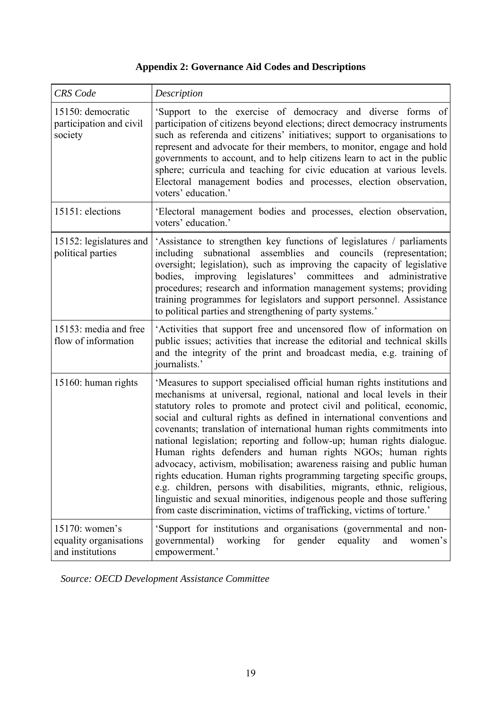# **Appendix 2: Governance Aid Codes and Descriptions**

| <b>CRS</b> Code                                              | Description                                                                                                                                                                                                                                                                                                                                                                                                                                                                                                                                                                                                                                                                                                                                                                                                                                                                                          |
|--------------------------------------------------------------|------------------------------------------------------------------------------------------------------------------------------------------------------------------------------------------------------------------------------------------------------------------------------------------------------------------------------------------------------------------------------------------------------------------------------------------------------------------------------------------------------------------------------------------------------------------------------------------------------------------------------------------------------------------------------------------------------------------------------------------------------------------------------------------------------------------------------------------------------------------------------------------------------|
| 15150: democratic<br>participation and civil<br>society      | 'Support to the exercise of democracy and diverse forms of<br>participation of citizens beyond elections; direct democracy instruments<br>such as referenda and citizens' initiatives; support to organisations to<br>represent and advocate for their members, to monitor, engage and hold<br>governments to account, and to help citizens learn to act in the public<br>sphere; curricula and teaching for civic education at various levels.<br>Electoral management bodies and processes, election observation,<br>voters' education.'                                                                                                                                                                                                                                                                                                                                                           |
| 15151: elections                                             | 'Electoral management bodies and processes, election observation,<br>voters' education.'                                                                                                                                                                                                                                                                                                                                                                                                                                                                                                                                                                                                                                                                                                                                                                                                             |
| 15152: legislatures and<br>political parties                 | 'Assistance to strengthen key functions of legislatures / parliaments<br>subnational assemblies and councils (representation;<br>including<br>oversight; legislation), such as improving the capacity of legislative<br>bodies, improving legislatures' committees<br>and administrative<br>procedures; research and information management systems; providing<br>training programmes for legislators and support personnel. Assistance<br>to political parties and strengthening of party systems.'                                                                                                                                                                                                                                                                                                                                                                                                 |
| 15153: media and free<br>flow of information                 | Activities that support free and uncensored flow of information on<br>public issues; activities that increase the editorial and technical skills<br>and the integrity of the print and broadcast media, e.g. training of<br>journalists.'                                                                                                                                                                                                                                                                                                                                                                                                                                                                                                                                                                                                                                                            |
| 15160: human rights                                          | 'Measures to support specialised official human rights institutions and<br>mechanisms at universal, regional, national and local levels in their<br>statutory roles to promote and protect civil and political, economic,<br>social and cultural rights as defined in international conventions and<br>covenants; translation of international human rights commitments into<br>national legislation; reporting and follow-up; human rights dialogue.<br>Human rights defenders and human rights NGOs; human rights<br>advocacy, activism, mobilisation; awareness raising and public human<br>rights education. Human rights programming targeting specific groups,<br>e.g. children, persons with disabilities, migrants, ethnic, religious,<br>linguistic and sexual minorities, indigenous people and those suffering<br>from caste discrimination, victims of trafficking, victims of torture.' |
| 15170: women's<br>equality organisations<br>and institutions | 'Support for institutions and organisations (governmental and non-<br>governmental)<br>working<br>equality<br>for gender<br>and<br>women's<br>empowerment.'                                                                                                                                                                                                                                                                                                                                                                                                                                                                                                                                                                                                                                                                                                                                          |

*Source: OECD Development Assistance Committee*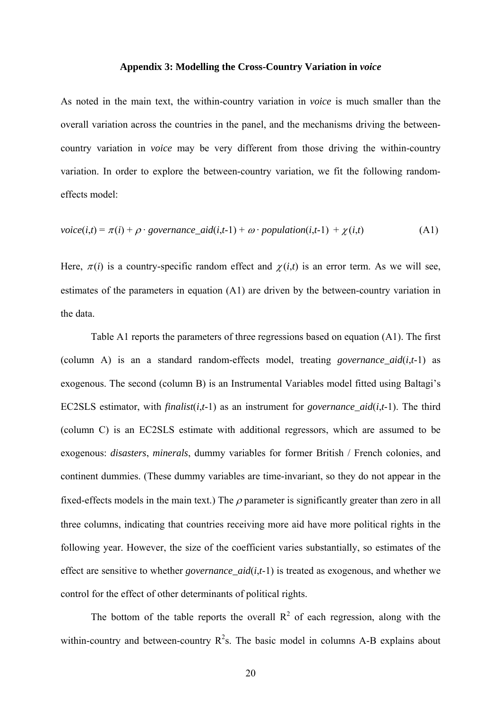#### **Appendix 3: Modelling the Cross-Country Variation in** *voice*

As noted in the main text, the within-country variation in *voice* is much smaller than the overall variation across the countries in the panel, and the mechanisms driving the betweencountry variation in *voice* may be very different from those driving the within-country variation. In order to explore the between-country variation, we fit the following randomeffects model:

$$
voice(i,t) = \pi(i) + \rho \cdot governance\_aid(i,t-1) + \omega \cdot population(i,t-1) + \chi(i,t)
$$
\n(A1)

Here,  $\pi(i)$  is a country-specific random effect and  $\gamma(i,t)$  is an error term. As we will see, estimates of the parameters in equation (A1) are driven by the between-country variation in the data.

 Table A1 reports the parameters of three regressions based on equation (A1). The first (column A) is an a standard random-effects model, treating *governance\_aid*(*i*,*t*-1) as exogenous. The second (column B) is an Instrumental Variables model fitted using Baltagi's EC2SLS estimator, with *finalist*( $i$ , $t$ -1) as an instrument for *governance\_aid*( $i$ , $t$ -1). The third (column C) is an EC2SLS estimate with additional regressors, which are assumed to be exogenous: *disasters*, *minerals*, dummy variables for former British / French colonies, and continent dummies. (These dummy variables are time-invariant, so they do not appear in the fixed-effects models in the main text.) The  $\rho$  parameter is significantly greater than zero in all three columns, indicating that countries receiving more aid have more political rights in the following year. However, the size of the coefficient varies substantially, so estimates of the effect are sensitive to whether *governance\_aid*(*i*,*t*-1) is treated as exogenous, and whether we control for the effect of other determinants of political rights.

The bottom of the table reports the overall  $\mathbb{R}^2$  of each regression, along with the within-country and between-country  $R^2$ s. The basic model in columns A-B explains about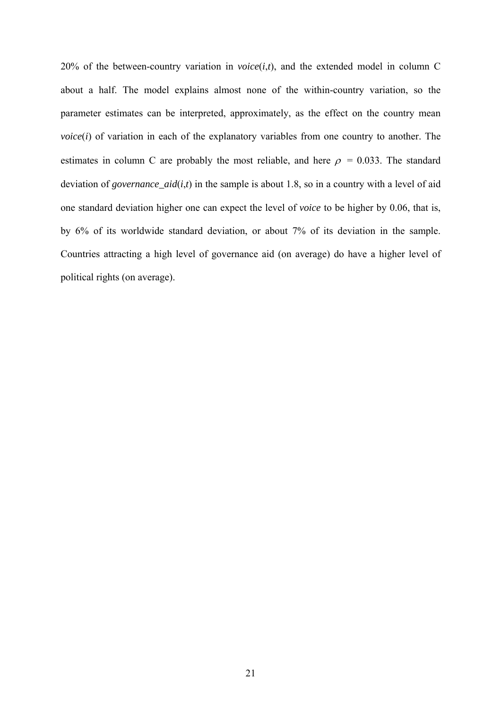20% of the between-country variation in  $\text{voice}(i,t)$ , and the extended model in column C about a half. The model explains almost none of the within-country variation, so the parameter estimates can be interpreted, approximately, as the effect on the country mean *voice*(*i*) of variation in each of the explanatory variables from one country to another. The estimates in column C are probably the most reliable, and here  $\rho = 0.033$ . The standard deviation of *governance\_aid*(*i*,*t*) in the sample is about 1.8, so in a country with a level of aid one standard deviation higher one can expect the level of *voice* to be higher by 0.06, that is, by 6% of its worldwide standard deviation, or about 7% of its deviation in the sample. Countries attracting a high level of governance aid (on average) do have a higher level of political rights (on average).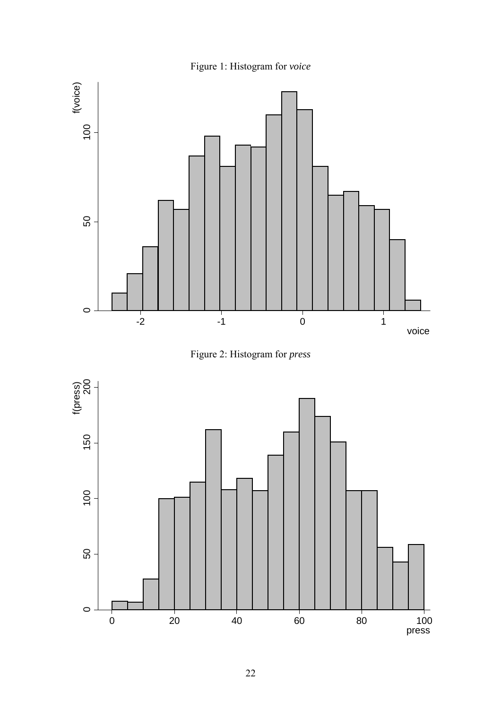



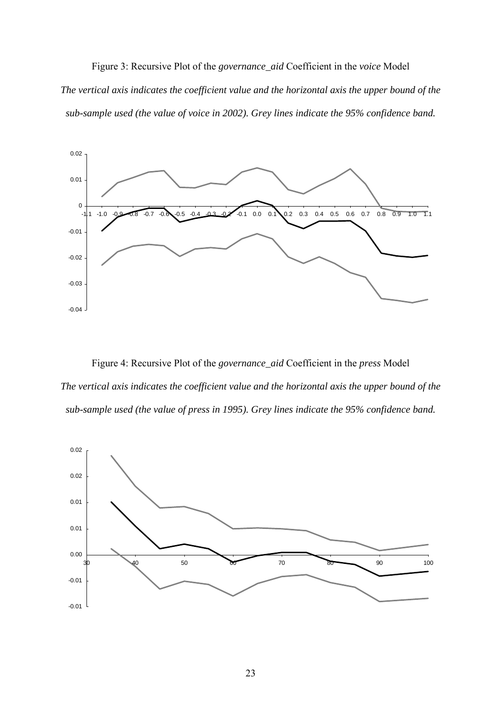Figure 3: Recursive Plot of the *governance\_aid* Coefficient in the *voice* Model *The vertical axis indicates the coefficient value and the horizontal axis the upper bound of the sub-sample used (the value of voice in 2002). Grey lines indicate the 95% confidence band.* 



Figure 4: Recursive Plot of the *governance\_aid* Coefficient in the *press* Model *The vertical axis indicates the coefficient value and the horizontal axis the upper bound of the sub-sample used (the value of press in 1995). Grey lines indicate the 95% confidence band.* 

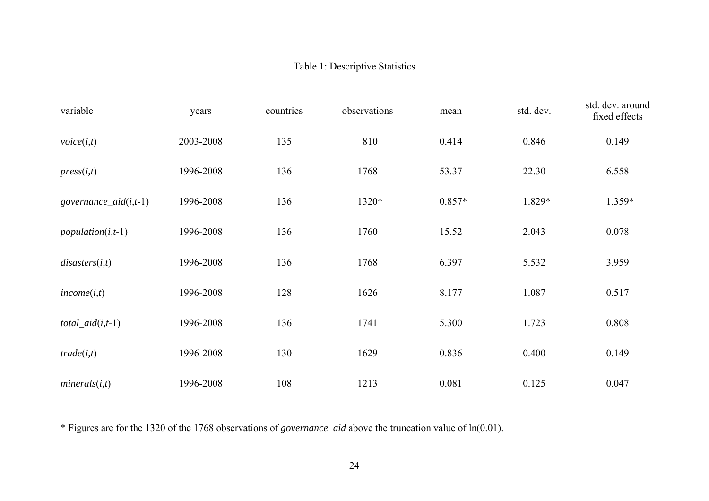# Table 1: Descriptive Statistics

| variable                | years     | countries | observations | mean     | std. dev. | std. dev. around<br>fixed effects |
|-------------------------|-----------|-----------|--------------|----------|-----------|-----------------------------------|
| $\textit{voice}(i, t)$  | 2003-2008 | 135       | 810          | 0.414    | 0.846     | 0.149                             |
| press(i,t)              | 1996-2008 | 136       | 1768         | 53.37    | 22.30     | 6.558                             |
| $goverance\_aid(i,t-1)$ | 1996-2008 | 136       | 1320*        | $0.857*$ | 1.829*    | $1.359*$                          |
| $population(i, t-1)$    | 1996-2008 | 136       | 1760         | 15.52    | 2.043     | 0.078                             |
| disasters(i,t)          | 1996-2008 | 136       | 1768         | 6.397    | 5.532     | 3.959                             |
| income(i,t)             | 1996-2008 | 128       | 1626         | 8.177    | 1.087     | 0.517                             |
| $total\_aid(i, t-1)$    | 1996-2008 | 136       | 1741         | 5.300    | 1.723     | 0.808                             |
| trade(i, t)             | 1996-2008 | 130       | 1629         | 0.836    | 0.400     | 0.149                             |
| minerals(i,t)           | 1996-2008 | 108       | 1213         | 0.081    | 0.125     | 0.047                             |

\* Figures are for the 1320 of the 1768 observations of *governance\_aid* above the truncation value of ln(0.01).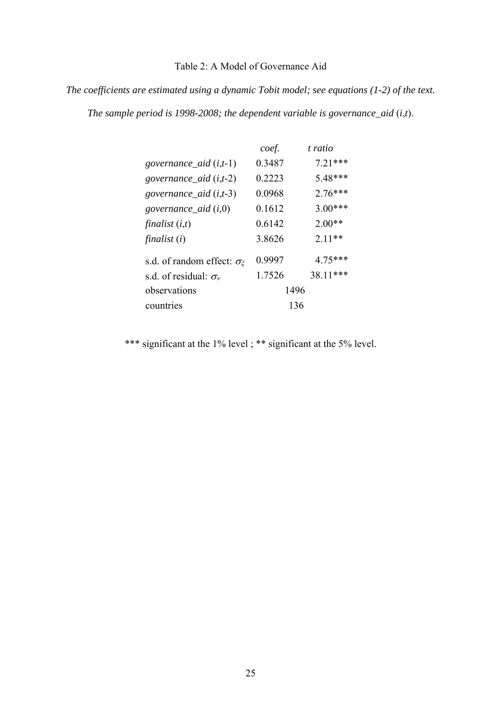# Table 2: A Model of Governance Aid

*The coefficients are estimated using a dynamic Tobit model; see equations (1-2) of the text. The sample period is 1998-2008; the dependent variable is governance\_aid* (*i*,*t*).

|                                       | coef.  | t ratio   |
|---------------------------------------|--------|-----------|
| <i>governance_aid</i> $(i,t-1)$       | 0.3487 | $7.21***$ |
| governance_aid $(i,t-2)$              | 0.2223 | 5.48***   |
| governance_aid $(i,t-3)$              | 0.0968 | $2.76***$ |
| governance_aid $(i,0)$                | 0.1612 | $3.00***$ |
| finalist $(i,t)$                      | 0.6142 | $2.00**$  |
| finalist(i)                           | 3.8626 | $2.11**$  |
| s.d. of random effect: $\sigma_{\xi}$ | 0.9997 | $4.75***$ |
| s.d. of residual: $\sigma_{v}$        | 1.7526 | 38.11***  |
| observations                          |        | 1496      |
| countries                             |        | 136       |

\*\*\* significant at the 1% level ; \*\* significant at the 5% level.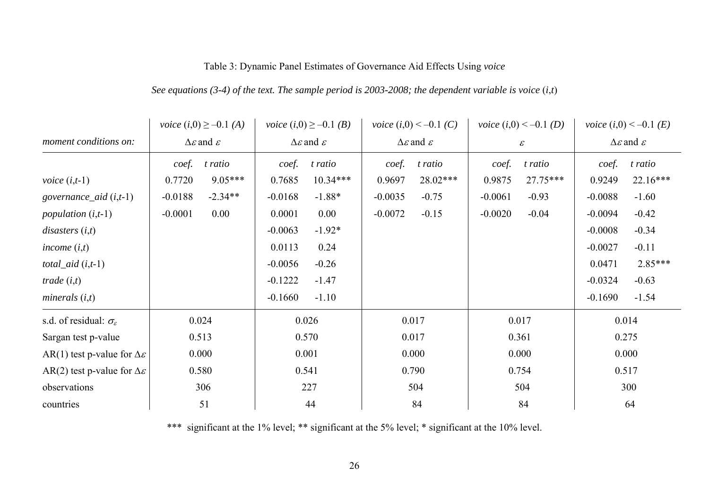# Table 3: Dynamic Panel Estimates of Governance Aid Effects Using *voice*

# *See equations (3-4) of the text. The sample period is 2003-2008; the dependent variable is voice*  $(i, t)$

|                                             | <i>voice</i> $(i,0) \ge -0.1$ ( <i>A</i> ) | <i>voice</i> $(i,0) \ge -0.1$ ( <i>B</i> ) | <i>voice</i> $(i,0) < -0.1$ ( <i>C</i> ) | <i>voice</i> $(i,0) < -0.1$ <i>(D)</i> | <i>voice</i> $(i,0) < -0.1$ ( <i>E</i> ) |  |  |
|---------------------------------------------|--------------------------------------------|--------------------------------------------|------------------------------------------|----------------------------------------|------------------------------------------|--|--|
| moment conditions on:                       | $\Delta \varepsilon$ and $\varepsilon$     | $\Delta \varepsilon$ and $\varepsilon$     | $\Delta \varepsilon$ and $\varepsilon$   | $\mathcal E$                           | $\Delta \varepsilon$ and $\varepsilon$   |  |  |
|                                             | coef.<br>t ratio                           | coef.<br>t ratio                           | coef.<br>t ratio                         | coef.<br>t ratio                       | coef.<br>t ratio                         |  |  |
| voice $(i,t-1)$                             | $9.05***$<br>0.7720                        | $10.34***$<br>0.7685                       | 28.02***<br>0.9697                       | $27.75***$<br>0.9875                   | 0.9249<br>$22.16***$                     |  |  |
| governance_aid $(i,t-1)$                    | $-2.34**$<br>$-0.0188$                     | $-0.0168$<br>$-1.88*$                      | $-0.0035$<br>$-0.75$                     | $-0.93$<br>$-0.0061$                   | $-0.0088$<br>$-1.60$                     |  |  |
| population $(i,t-1)$                        | 0.00<br>$-0.0001$                          | 0.00<br>0.0001                             | $-0.0072$<br>$-0.15$                     | $-0.04$<br>$-0.0020$                   | $-0.0094$<br>$-0.42$                     |  |  |
| disasters $(i,t)$                           |                                            | $-1.92*$<br>$-0.0063$                      |                                          |                                        | $-0.0008$<br>$-0.34$                     |  |  |
| income $(i,t)$                              |                                            | 0.0113<br>0.24                             |                                          |                                        | $-0.0027$<br>$-0.11$                     |  |  |
| <i>total_aid</i> $(i,t-1)$                  |                                            | $-0.0056$<br>$-0.26$                       |                                          |                                        | 2.85***<br>0.0471                        |  |  |
| <i>trade</i> $(i,t)$                        |                                            | $-0.1222$<br>$-1.47$                       |                                          |                                        | $-0.0324$<br>$-0.63$                     |  |  |
| minerals $(i,t)$                            |                                            | $-0.1660$<br>$-1.10$                       |                                          |                                        | $-0.1690$<br>$-1.54$                     |  |  |
| s.d. of residual: $\sigma_{\varepsilon}$    | 0.024                                      | 0.026                                      | 0.017                                    | 0.017                                  | 0.014                                    |  |  |
| Sargan test p-value                         | 0.513                                      | 0.570                                      | 0.017                                    | 0.361                                  | 0.275                                    |  |  |
| AR(1) test p-value for $\Delta \varepsilon$ | 0.000                                      | 0.001                                      | 0.000                                    | 0.000                                  | 0.000                                    |  |  |
| AR(2) test p-value for $\Delta \varepsilon$ | 0.580                                      | 0.541                                      | 0.790                                    | 0.754                                  | 0.517                                    |  |  |
| observations                                | 306                                        | 227                                        | 504                                      | 504                                    | 300                                      |  |  |
| countries                                   | 51                                         | 44                                         | 84                                       | 84                                     | 64                                       |  |  |

\*\*\* significant at the 1% level; \*\* significant at the 5% level; \* significant at the 10% level.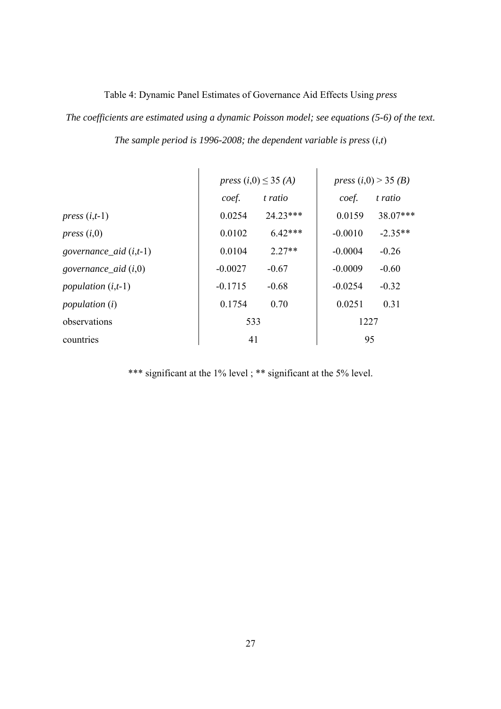# Table 4: Dynamic Panel Estimates of Governance Aid Effects Using *press*

*The coefficients are estimated using a dynamic Poisson model; see equations (5-6) of the text. The sample period is 1996-2008; the dependent variable is press*  $(i, t)$ 

|                                |           | <i>press</i> $(i,0) \leq 35(A)$ | <i>press</i> $(i,0) > 35(B)$ |           |  |  |
|--------------------------------|-----------|---------------------------------|------------------------------|-----------|--|--|
|                                | coef.     | t ratio                         | coef.                        | t ratio   |  |  |
| <i>press</i> $(i,t-1)$         | 0.0254    | $24.23***$                      | 0.0159                       | 38.07***  |  |  |
| pres(i,0)                      | 0.0102    | $6.42***$                       | $-0.0010$                    | $-2.35**$ |  |  |
| governance_aid $(i,t-1)$       | 0.0104    | $2.27**$                        | $-0.0004$                    | $-0.26$   |  |  |
| <i>governance_aid</i> $(i,0)$  | $-0.0027$ | $-0.67$                         | $-0.0009$                    | $-0.60$   |  |  |
| <i>population</i> $(i,t-1)$    | $-0.1715$ | $-0.68$                         | $-0.0254$                    | $-0.32$   |  |  |
| <i>population</i> ( <i>i</i> ) | 0.1754    | 0.70                            | 0.0251                       | 0.31      |  |  |
| observations                   | 533       |                                 | 1227                         |           |  |  |
| countries                      | 41        |                                 | 95                           |           |  |  |

\*\*\* significant at the 1% level ; \*\* significant at the 5% level.